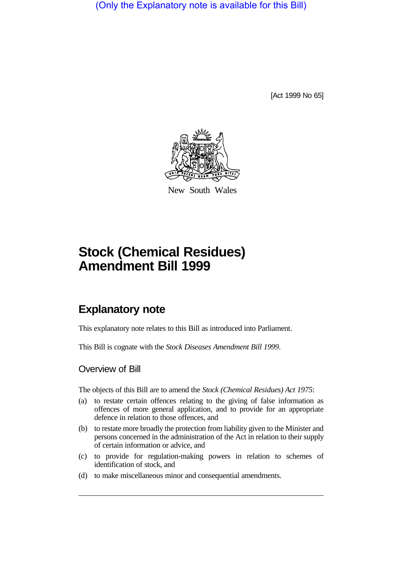(Only the Explanatory note is available for this Bill)

[Act 1999 No 65]



New South Wales

# **Stock (Chemical Residues) Amendment Bill 1999**

## **Explanatory note**

This explanatory note relates to this Bill as introduced into Parliament.

This Bill is cognate with the *Stock Diseases Amendment Bill 1999*.

### Overview of Bill

The objects of this Bill are to amend the *Stock (Chemical Residues) Act 1975*:

- (a) to restate certain offences relating to the giving of false information as offences of more general application, and to provide for an appropriate defence in relation to those offences, and
- (b) to restate more broadly the protection from liability given to the Minister and persons concerned in the administration of the Act in relation to their supply of certain information or advice, and
- (c) to provide for regulation-making powers in relation to schemes of identification of stock, and
- (d) to make miscellaneous minor and consequential amendments.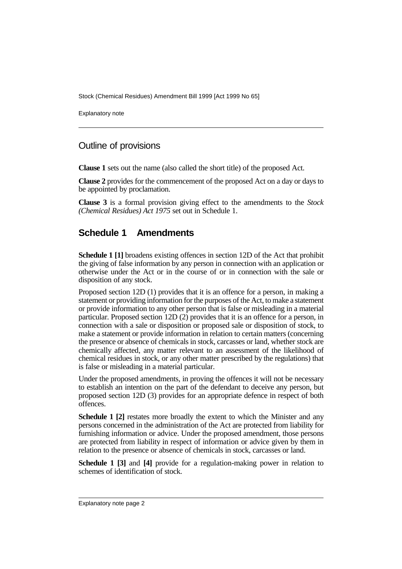Stock (Chemical Residues) Amendment Bill 1999 [Act 1999 No 65]

Explanatory note

#### Outline of provisions

**Clause 1** sets out the name (also called the short title) of the proposed Act.

**Clause 2** provides for the commencement of the proposed Act on a day or days to be appointed by proclamation.

**Clause 3** is a formal provision giving effect to the amendments to the *Stock (Chemical Residues) Act 1975* set out in Schedule 1.

### **Schedule 1 Amendments**

**Schedule 1 [1]** broadens existing offences in section 12D of the Act that prohibit the giving of false information by any person in connection with an application or otherwise under the Act or in the course of or in connection with the sale or disposition of any stock.

Proposed section 12D (1) provides that it is an offence for a person, in making a statement or providing information for the purposes of the Act, to make a statement or provide information to any other person that is false or misleading in a material particular. Proposed section 12D (2) provides that it is an offence for a person, in connection with a sale or disposition or proposed sale or disposition of stock, to make a statement or provide information in relation to certain matters (concerning the presence or absence of chemicals in stock, carcasses or land, whether stock are chemically affected, any matter relevant to an assessment of the likelihood of chemical residues in stock, or any other matter prescribed by the regulations) that is false or misleading in a material particular.

Under the proposed amendments, in proving the offences it will not be necessary to establish an intention on the part of the defendant to deceive any person, but proposed section 12D (3) provides for an appropriate defence in respect of both offences.

**Schedule 1 [2]** restates more broadly the extent to which the Minister and any persons concerned in the administration of the Act are protected from liability for furnishing information or advice. Under the proposed amendment, those persons are protected from liability in respect of information or advice given by them in relation to the presence or absence of chemicals in stock, carcasses or land.

**Schedule 1 [3]** and **[4]** provide for a regulation-making power in relation to schemes of identification of stock.